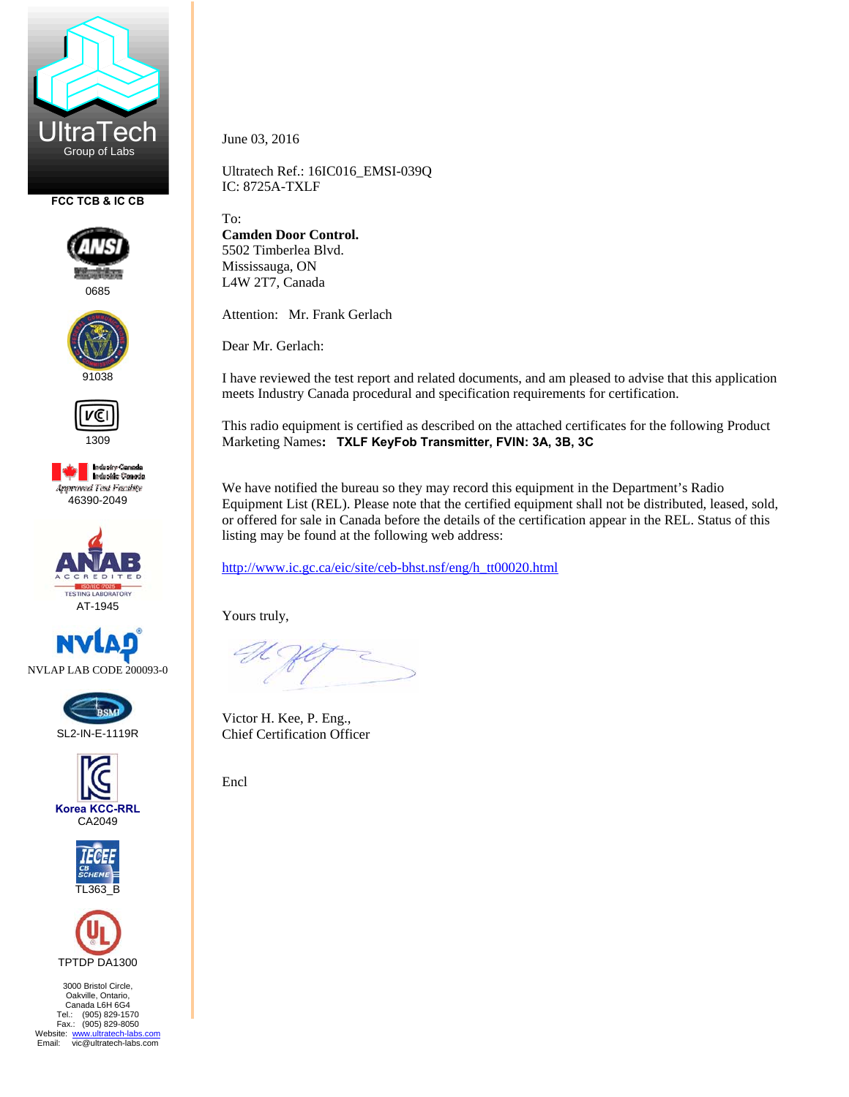

**FCC TCB & IC CB** 



0685





**Industry Canada**<br>Industrie Canada **Approved Test Facility** 46390-2049













3000 Bristol Circle, Oakville, Ontario, Canada L6H 6G4 Tel.: (905) 829-1570 Fax.: (905) 829-8050 Website: www.ultratech-labs.com<br>Email: vic@ultratech-labs.com June 03, 2016

Ultratech Ref.: 16IC016\_EMSI-039Q IC: 8725A-TXLF

To:

**Camden Door Control.**  5502 Timberlea Blvd. Mississauga, ON L4W 2T7, Canada

Attention: Mr. Frank Gerlach

Dear Mr. Gerlach:

I have reviewed the test report and related documents, and am pleased to advise that this application meets Industry Canada procedural and specification requirements for certification.

This radio equipment is certified as described on the attached certificates for the following Product Marketing Names**: TXLF KeyFob Transmitter, FVIN: 3A, 3B, 3C** 

We have notified the bureau so they may record this equipment in the Department's Radio Equipment List (REL). Please note that the certified equipment shall not be distributed, leased, sold, or offered for sale in Canada before the details of the certification appear in the REL. Status of this listing may be found at the following web address:

http://www.ic.gc.ca/eic/site/ceb-bhst.nsf/eng/h\_tt00020.html

Yours truly,

Victor H. Kee, P. Eng., Chief Certification Officer

Encl